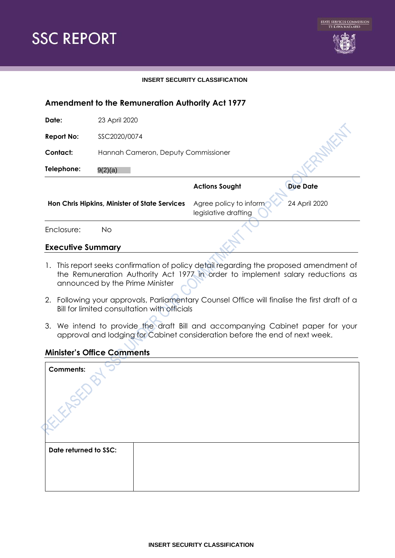

#### **INSERT SECURITY CLASSIFICATION**

# **Amendment to the Remuneration Authority Act 1977**

**Date:** 23 April 2020

**Report No:** SSC2020/0074

**Contact:** Hannah Cameron, Deputy Commissioner

**Telephone:** 9(2)(a)

**Actions Sought Due Date** 

**Hon Chris Hipkins, Minister of State Services** Agree policy to inform legislative drafting

24 April 2020

Enclosure: No

#### **Executive Summary**

- 1. This report seeks confirmation of policy detail regarding the proposed amendment of the Remuneration Authority Act 1977 in order to implement salary reductions as announced by the Prime Minister
- 2. Following your approvals, Parliamentary Counsel Office will finalise the first draft of a Bill for limited consultation with officials
- 3. We intend to provide the draft Bill and accompanying Cabinet paper for your approval and lodging for Cabinet consideration before the end of next week.

## **Minister's Office Comments**

| <b>Comments:</b>      |  |
|-----------------------|--|
| Date returned to SSC: |  |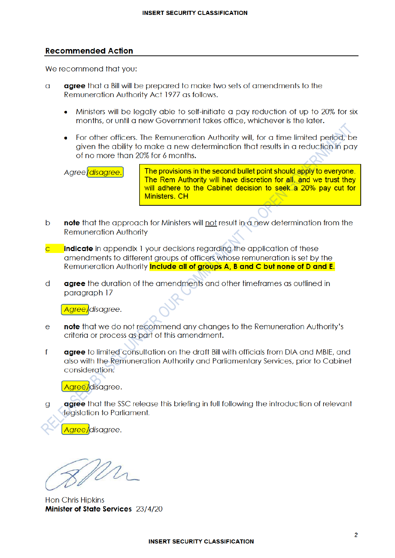#### **Recommended Action**

We recommend that you:

- **agree** that a Bill will be prepared to make two sets of amendments to the  $\Omega$ Remuneration Authority Act 1977 as follows.
	- Ministers will be legally able to self-initiate a pay reduction of up to 20% for six months, or until a new Government takes office, whichever is the later.
	- For other officers. The Remuneration Authority will, for a time limited period, be given the ability to make a new determination that results in a reduction in pay of no more than 20% for 6 months.

Agree/disagree.

The provisions in the second bullet point should apply to everyone. The Rem Authority will have discretion for all, and we trust they will adhere to the Cabinet decision to seek a 20% pay cut for Ministers, CH

- note that the approach for Ministers will not result in a new determination from the  $\mathbf b$ **Remuneration Authority**
- **indicate** in appendix 1 your decisions regarding the application of these amendments to different groups of officers whose remuneration is set by the Remuneration Authority *include all of groups A, B and C but none of D and E.*
- d agree the duration of the amendments and other timeframes as outlined in paragraph 17

Agree/disagree.

- note that we do not recommend any changes to the Remuneration Authority's  $\overline{e}$ criteria or process as part of this amendment.
- $f$ agree to limited consultation on the draft Bill with officials from DIA and MBIE, and also with the Remuneration Authority and Parliamentary Services, prior to Cabinet consideration.

Agree/disagree.

**agree** that the SSC release this briefing in full following the introduction of relevant  $\mathbf{q}$ legislation to Parliament.

Agree/disagree.

**Hon Chris Hipkins** Minister of State Services 23/4/20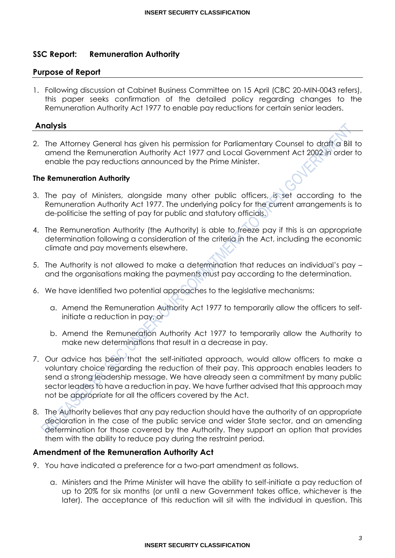# **SSC Report: Remuneration Authority**

## **Purpose of Report**

1. Following discussion at Cabinet Business Committee on 15 April (CBC 20-MIN-0043 refers), this paper seeks confirmation of the detailed policy regarding changes to the Remuneration Authority Act 1977 to enable pay reductions for certain senior leaders.

## **Analysis**

2. The Attorney General has given his permission for Parliamentary Counsel to draft a Bill to amend the Remuneration Authority Act 1977 and Local Government Act 2002 in order to enable the pay reductions announced by the Prime Minister.

## **The Remuneration Authority**

- 3. The pay of Ministers, alongside many other public officers, is set according to the Remuneration Authority Act 1977. The underlying policy for the current arrangements is to de-politicise the setting of pay for public and statutory officials.
- 4. The Remuneration Authority (the Authority) is able to freeze pay if this is an appropriate determination following a consideration of the criteria in the Act, including the economic climate and pay movements elsewhere.
- 5. The Authority is not allowed to make a determination that reduces an individual's pay and the organisations making the payments must pay according to the determination.
- 6. We have identified two potential approaches to the legislative mechanisms:
	- a. Amend the Remuneration Authority Act 1977 to temporarily allow the officers to selfinitiate a reduction in pay, or
	- b. Amend the Remuneration Authority Act 1977 to temporarily allow the Authority to make new determinations that result in a decrease in pay.
- 7. Our advice has been that the self-initiated approach, would allow officers to make a voluntary choice regarding the reduction of their pay. This approach enables leaders to send a strong leadership message. We have already seen a commitment by many public sector leaders to have a reduction in pay. We have further advised that this approach may not be appropriate for all the officers covered by the Act.
- 8. The Authority believes that any pay reduction should have the authority of an appropriate declaration in the case of the public service and wider State sector, and an amending determination for those covered by the Authority. They support an option that provides them with the ability to reduce pay during the restraint period.

## **Amendment of the Remuneration Authority Act**

- 9. You have indicated a preference for a two-part amendment as follows.
	- a. Ministers and the Prime Minister will have the ability to self-initiate a pay reduction of up to 20% for six months (or until a new Government takes office, whichever is the later). The acceptance of this reduction will sit with the individual in question. This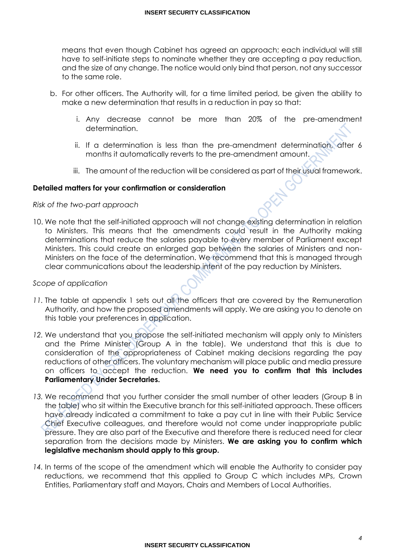means that even though Cabinet has agreed an approach; each individual will still have to self-initiate steps to nominate whether they are accepting a pay reduction, and the size of any change. The notice would only bind that person, not any successor to the same role.

- b. For other officers. The Authority will, for a time limited period, be given the ability to make a new determination that results in a reduction in pay so that:
	- i. Any decrease cannot be more than 20% of the pre-amendment determination.
	- ii. If a determination is less than the pre-amendment determination, after 6 months it automatically reverts to the pre-amendment amount.
	- iii. The amount of the reduction will be considered as part of their usual framework.

## **Detailed matters for your confirmation or consideration**

#### *Risk of the two-part approach*

10. We note that the self-initiated approach will not change existing determination in relation to Ministers. This means that the amendments could result in the Authority making determinations that reduce the salaries payable to every member of Parliament except Ministers. This could create an enlarged gap between the salaries of Ministers and non-Ministers on the face of the determination. We recommend that this is managed through clear communications about the leadership intent of the pay reduction by Ministers.

#### *Scope of application*

- 11. The table at appendix 1 sets out all the officers that are covered by the Remuneration Authority, and how the proposed amendments will apply. We are asking you to denote on this table your preferences in application.
- *12.* We understand that you propose the self-initiated mechanism will apply only to Ministers and the Prime Minister (Group A in the table). We understand that this is due to consideration of the appropriateness of Cabinet making decisions regarding the pay reductions of other officers. The voluntary mechanism will place public and media pressure on officers to accept the reduction. **We need you to confirm that this includes Parliamentary Under Secretaries.**
- *13.* We recommend that you further consider the small number of other leaders (Group B in the table) who sit within the Executive branch for this self-initiated approach. These officers have already indicated a commitment to take a pay cut in line with their Public Service Chief Executive colleagues, and therefore would not come under inappropriate public pressure. They are also part of the Executive and therefore there is reduced need for clear separation from the decisions made by Ministers. **We are asking you to confirm which legislative mechanism should apply to this group.**
- *14.* In terms of the scope of the amendment which will enable the Authority to consider pay reductions, we recommend that this applied to Group C which includes MPs, Crown Entities, Parliamentary staff and Mayors, Chairs and Members of Local Authorities.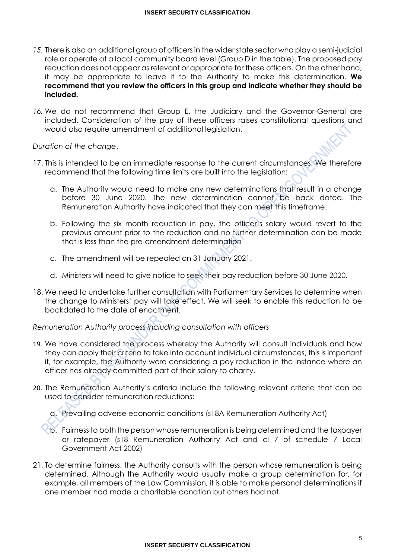- *15.* There is also an additional group of officers in the wider state sector who play a semi-judicial role or operate at a local community board level (Group D in the table). The proposed pay reduction does not appear as relevant or appropriate for these officers. On the other hand, it may be appropriate to leave it to the Authority to make this determination. **We recommend that you review the officers in this group and indicate whether they should be included.**
- *16.* We do not recommend that Group E, the Judiciary and the Governor-General are included. Consideration of the pay of these officers raises constitutional questions and would also require amendment of additional legislation.

## *Duration of the change*.

- 17. This is intended to be an immediate response to the current circumstances. We therefore recommend that the following time limits are built into the legislation:
	- a. The Authority would need to make any new determinations that result in a change before 30 June 2020. The new determination cannot be back dated. The Remuneration Authority have indicated that they can meet this timeframe.
	- b. Following the six month reduction in pay, the officer's salary would revert to the previous amount prior to the reduction and no further determination can be made that is less than the pre-amendment determination
	- c. The amendment will be repealed on 31 January 2021.
	- d. Ministers will need to give notice to seek their pay reduction before 30 June 2020.
- 18. We need to undertake further consultation with Parliamentary Services to determine when the change to Ministers' pay will take effect. We will seek to enable this reduction to be backdated to the date of enactment.

*Remuneration Authority process including consultation with officers* 

- 19. We have considered the process whereby the Authority will consult individuals and how they can apply their criteria to take into account individual circumstances, this is important if, for example, the Authority were considering a pay reduction in the instance where an officer has already committed part of their salary to charity.
- 20. The Remuneration Authority's criteria include the following relevant criteria that can be used to consider remuneration reductions:
	- a. Prevailing adverse economic conditions (s18A Remuneration Authority Act)
	- b. Fairness to both the person whose remuneration is being determined and the taxpayer or ratepayer (s18 Remuneration Authority Act and cl 7 of schedule 7 Local Government Act 2002)
- 21. To determine fairness, the Authority consults with the person whose remuneration is being determined. Although the Authority would usually make a group determination for, for example, all members of the Law Commission, it is able to make personal determinations if one member had made a charitable donation but others had not.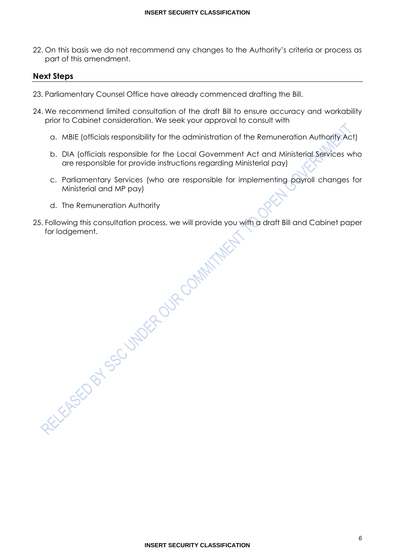22. On this basis we do not recommend any changes to the Authority's criteria or process as part of this amendment.

## **Next Steps**

- 23. Parliamentary Counsel Office have already commenced drafting the Bill.
- 24. We recommend limited consultation of the draft Bill to ensure accuracy and workability prior to Cabinet consideration. We seek your approval to consult with
	- a. MBIE (officials responsibility for the administration of the Remuneration Authority Act)
	- b. DIA (officials responsible for the Local Government Act and Ministerial Services who are responsible for provide instructions regarding Ministerial pay)
	- c. Parliamentary Services (who are responsible for implementing payroll changes for Ministerial and MP pay)
	- d. The Remuneration Authority
- 25. Following this consultation process, we will provide you with a draft Bill and Cabinet paper for lodgement.

**INSERT SECURITY CLASSIFICATION**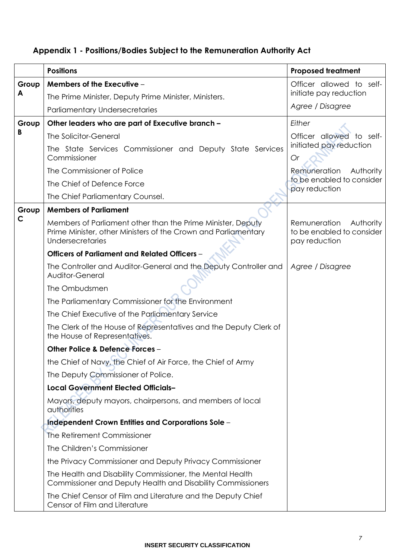# **Appendix 1 - Positions/Bodies Subject to the Remuneration Authority Act**

|              | <b>Positions</b>                                                                                                                                  | <b>Proposed treatment</b>                                               |
|--------------|---------------------------------------------------------------------------------------------------------------------------------------------------|-------------------------------------------------------------------------|
| Group        | Members of the Executive -                                                                                                                        | Officer allowed to self-                                                |
| A            | The Prime Minister, Deputy Prime Minister, Ministers.                                                                                             | initiate pay reduction                                                  |
|              | <b>Parliamentary Undersecretaries</b>                                                                                                             | Agree / Disagree                                                        |
| Group        | Other leaders who are part of Executive branch -                                                                                                  | Either                                                                  |
| B            | <b>The Solicitor-General</b>                                                                                                                      | Officer allowed to self-                                                |
|              | The State Services Commissioner and Deputy State Services<br>Commissioner                                                                         | initiated pay reduction<br>Or                                           |
|              | The Commissioner of Police                                                                                                                        | Remuneration<br>Authority                                               |
|              | The Chief of Defence Force                                                                                                                        | to be enabled to consider<br>pay reduction                              |
|              | The Chief Parliamentary Counsel.                                                                                                                  |                                                                         |
| Group        | <b>Members of Parliament</b>                                                                                                                      |                                                                         |
| $\mathsf{C}$ | Members of Parliament other than the Prime Minister, Deputy<br>Prime Minister, other Ministers of the Crown and Parliamentary<br>Undersecretaries | Remuneration<br>Authority<br>to be enabled to consider<br>pay reduction |
|              | Officers of Parliament and Related Officers -                                                                                                     |                                                                         |
|              | The Controller and Auditor-General and the Deputy Controller and<br>Auditor-General                                                               | Agree / Disagree                                                        |
|              | The Ombudsmen                                                                                                                                     |                                                                         |
|              | The Parliamentary Commissioner for the Environment                                                                                                |                                                                         |
|              | The Chief Executive of the Parliamentary Service                                                                                                  |                                                                         |
|              | The Clerk of the House of Representatives and the Deputy Clerk of<br>the House of Representatives.                                                |                                                                         |
|              | Other Police & Defence Forces -                                                                                                                   |                                                                         |
|              | the Chief of Navy, the Chief of Air Force, the Chief of Army                                                                                      |                                                                         |
|              | The Deputy Commissioner of Police.                                                                                                                |                                                                         |
|              | <b>Local Government Elected Officials-</b>                                                                                                        |                                                                         |
|              | Mayors, deputy mayors, chairpersons, and members of local<br>authorities                                                                          |                                                                         |
|              | Independent Crown Entities and Corporations Sole -                                                                                                |                                                                         |
|              | The Retirement Commissioner                                                                                                                       |                                                                         |
|              | The Children's Commissioner                                                                                                                       |                                                                         |
|              | the Privacy Commissioner and Deputy Privacy Commissioner                                                                                          |                                                                         |
|              | The Health and Disability Commissioner, the Mental Health<br>Commissioner and Deputy Health and Disability Commissioners                          |                                                                         |
|              | The Chief Censor of Film and Literature and the Deputy Chief<br>Censor of Film and Literature                                                     |                                                                         |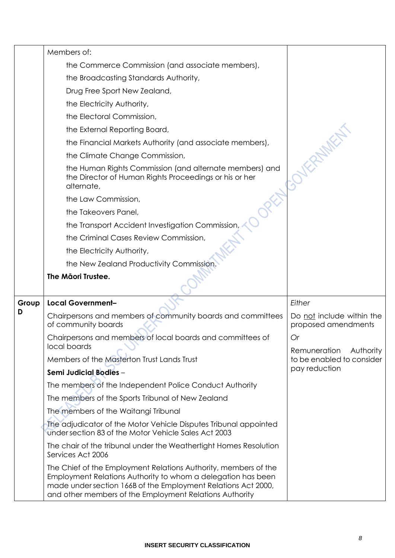|            | Members of:                                                                                                                     |                                                  |
|------------|---------------------------------------------------------------------------------------------------------------------------------|--------------------------------------------------|
|            | the Commerce Commission (and associate members),                                                                                |                                                  |
|            | the Broadcasting Standards Authority,                                                                                           |                                                  |
|            | Drug Free Sport New Zealand,                                                                                                    |                                                  |
|            | the Electricity Authority,                                                                                                      |                                                  |
|            | the Electoral Commission,                                                                                                       |                                                  |
|            | the External Reporting Board,                                                                                                   |                                                  |
|            | the Financial Markets Authority (and associate members),                                                                        |                                                  |
|            | the Climate Change Commission,                                                                                                  |                                                  |
|            | the Human Rights Commission (and alternate members) and<br>the Director of Human Rights Proceedings or his or her<br>alternate, |                                                  |
|            | the Law Commission,                                                                                                             |                                                  |
|            | the Takeovers Panel,                                                                                                            |                                                  |
|            | the Transport Accident Investigation Commission                                                                                 |                                                  |
|            | the Criminal Cases Review Commission,                                                                                           |                                                  |
|            | the Electricity Authority,                                                                                                      |                                                  |
|            | the New Zealand Productivity Commission                                                                                         |                                                  |
|            | The Māori Trustee.                                                                                                              |                                                  |
|            |                                                                                                                                 |                                                  |
| Group<br>D | Local Government-                                                                                                               | Either                                           |
|            | Chairpersons and members of community boards and committees<br>of community boards                                              | Do not include within the<br>proposed amendments |
|            | Chairpersons and members of local boards and committees of<br>local boards                                                      | Or<br>Remuneration                               |
|            | Members of the Masterton Trust Lands Trust                                                                                      | Authority<br>to be enabled to consider           |
|            | Semi Judicial Bodies -                                                                                                          | pay reduction                                    |
|            | The members of the Independent Police Conduct Authority                                                                         |                                                  |
|            |                                                                                                                                 |                                                  |
|            | The members of the Sports Tribunal of New Zealand                                                                               |                                                  |
|            | The members of the Waitangi Tribunal                                                                                            |                                                  |
|            | The adjudicator of the Motor Vehicle Disputes Tribunal appointed<br>under section 83 of the Motor Vehicle Sales Act 2003        |                                                  |
|            | The chair of the tribunal under the Weathertight Homes Resolution<br>Services Act 2006                                          |                                                  |